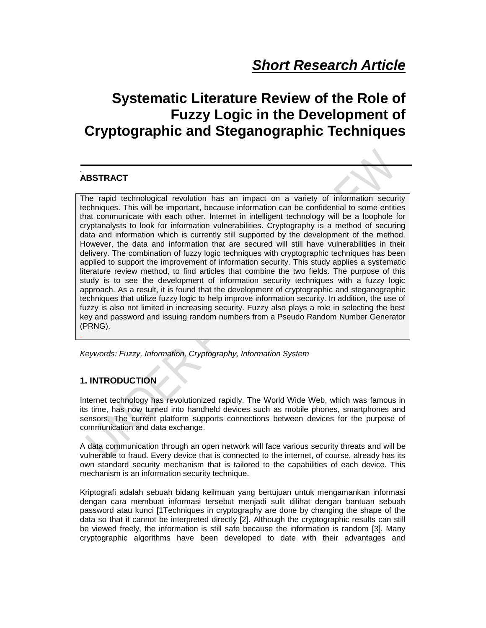# **Systematic Literature Review of the Role of Fuzzy Logic in the Development of Cryptographic and Steganographic Techniques**

# **ABSTRACT**

.

The rapid technological revolution has an impact on a variety of information security techniques. This will be important, because information can be confidential to some entities that communicate with each other. Internet in intelligent technology will be a loophole for cryptanalysts to look for information vulnerabilities. Cryptography is a method of securing data and information which is currently still supported by the development of the method. However, the data and information that are secured will still have vulnerabilities in their delivery. The combination of fuzzy logic techniques with cryptographic techniques has been applied to support the improvement of information security. This study applies a systematic literature review method, to find articles that combine the two fields. The purpose of this study is to see the development of information security techniques with a fuzzy logic approach. As a result, it is found that the development of cryptographic and steganographic techniques that utilize fuzzy logic to help improve information security. In addition, the use of fuzzy is also not limited in increasing security. Fuzzy also plays a role in selecting the best key and password and issuing random numbers from a Pseudo Random Number Generator (PRNG). .

*Keywords: Fuzzy, Information, Cryptography, Information System*

# **1. INTRODUCTION**

Internet technology has revolutionized rapidly. The World Wide Web, which was famous in its time, has now turned into handheld devices such as mobile phones, smartphones and sensors. The current platform supports connections between devices for the purpose of communication and data exchange.

A data communication through an open network will face various security threats and will be vulnerable to fraud. Every device that is connected to the internet, of course, already has its own standard security mechanism that is tailored to the capabilities of each device. This mechanism is an information security technique.

Kriptografi adalah sebuah bidang keilmuan yang bertujuan untuk mengamankan informasi dengan cara membuat informasi tersebut menjadi sulit dilihat dengan bantuan sebuah password atau kunci [1Techniques in cryptography are done by changing the shape of the data so that it cannot be interpreted directly [2]. Although the cryptographic results can still be viewed freely, the information is still safe because the information is random [3]. Many cryptographic algorithms have been developed to date with their advantages and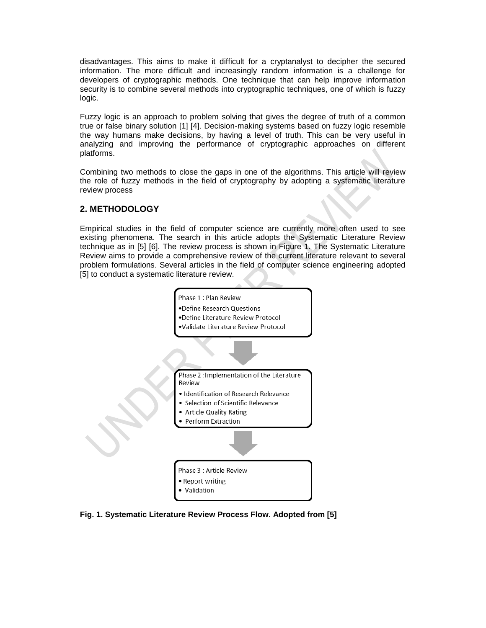disadvantages. This aims to make it difficult for a cryptanalyst to decipher the secured information. The more difficult and increasingly random information is a challenge for developers of cryptographic methods. One technique that can help improve information security is to combine several methods into cryptographic techniques, one of which is fuzzy logic.

Fuzzy logic is an approach to problem solving that gives the degree of truth of a common true or false binary solution [1] [4]. Decision-making systems based on fuzzy logic resemble the way humans make decisions, by having a level of truth. This can be very useful in analyzing and improving the performance of cryptographic approaches on different platforms.

Combining two methods to close the gaps in one of the algorithms. This article will review the role of fuzzy methods in the field of cryptography by adopting a systematic literature review process

## **2. METHODOLOGY**

Empirical studies in the field of computer science are currently more often used to see existing phenomena. The search in this article adopts the Systematic Literature Review technique as in [5] [6]. The review process is shown in Figure 1. The Systematic Literature Review aims to provide a comprehensive review of the current literature relevant to several problem formulations. Several articles in the field of computer science engineering adopted [5] to conduct a systematic literature review.



**Fig. 1. Systematic Literature Review Process Flow. Adopted from [5]**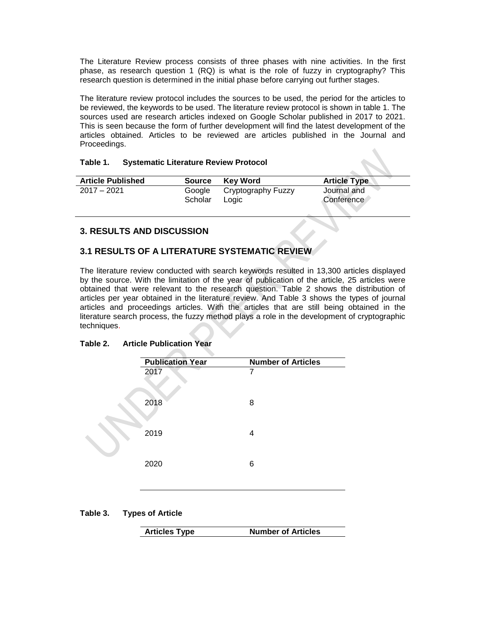The Literature Review process consists of three phases with nine activities. In the first phase, as research question 1 (RQ) is what is the role of fuzzy in cryptography? This research question is determined in the initial phase before carrying out further stages.

The literature review protocol includes the sources to be used, the period for the articles to be reviewed, the keywords to be used. The literature review protocol is shown in table 1. The sources used are research articles indexed on Google Scholar published in 2017 to 2021. This is seen because the form of further development will find the latest development of the articles obtained. Articles to be reviewed are articles published in the Journal and Proceedings.

#### **Table 1. Systematic Literature Review Protocol**

| <b>Article Published</b> | <b>Source</b> | Kev Word           | <b>Article Type</b> |
|--------------------------|---------------|--------------------|---------------------|
| $2017 - 2021$            | Google        | Cryptography Fuzzy | Journal and         |
|                          | Scholar       | Logic              | Conference          |

# **3. RESULTS AND DISCUSSION**

# **3.1 RESULTS OF A LITERATURE SYSTEMATIC REVIEW**

The literature review conducted with search keywords resulted in 13,300 articles displayed by the source. With the limitation of the year of publication of the article, 25 articles were obtained that were relevant to the research question. Table 2 shows the distribution of articles per year obtained in the literature review. And Table 3 shows the types of journal articles and proceedings articles. With the articles that are still being obtained in the literature search process, the fuzzy method plays a role in the development of cryptographic techniques.

#### **Table 2. Article Publication Year**



#### **Table 3. Types of Article**

|  | <b>Articles Type</b> | <b>Number of Articles</b> |
|--|----------------------|---------------------------|
|--|----------------------|---------------------------|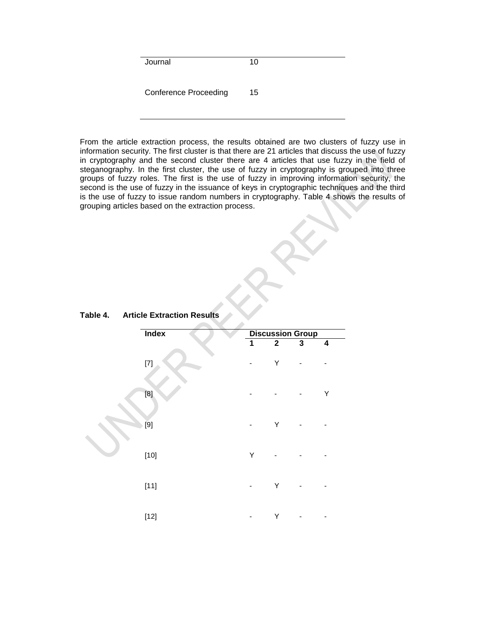Journal 10 Conference Proceeding 15

From the article extraction process, the results obtained are two clusters of fuzzy use in information security. The first cluster is that there are 21 articles that discuss the use of fuzzy in cryptography and the second cluster there are 4 articles that use fuzzy in the field of steganography. In the first cluster, the use of fuzzy in cryptography is grouped into three groups of fuzzy roles. The first is the use of fuzzy in improving information security, the second is the use of fuzzy in the issuance of keys in cryptographic techniques and the third is the use of fuzzy to issue random numbers in cryptography. Table 4 shows the results of grouping articles based on the extraction process.

| Index                                                                                                                                                                                                                                                                         |   | <b>Discussion Group</b> |   |   |  |
|-------------------------------------------------------------------------------------------------------------------------------------------------------------------------------------------------------------------------------------------------------------------------------|---|-------------------------|---|---|--|
|                                                                                                                                                                                                                                                                               | 1 | $\mathbf 2$             | 3 | 4 |  |
| $[7] \centering% \includegraphics[width=1.0\textwidth]{images/TrDiC1.png} \caption{The 3D (top) and the 4D (bottom) of the 3D (bottom) and the 4D (bottom) of the 3D (bottom) and the 4D (bottom) of the 3D (bottom) and the 4D (bottom) of the 3D (bottom).} \label{TrDiC1}$ |   | Υ                       |   |   |  |
| [8]                                                                                                                                                                                                                                                                           |   |                         |   | Υ |  |
| [9]                                                                                                                                                                                                                                                                           |   | Υ                       |   |   |  |
| $[10]$                                                                                                                                                                                                                                                                        | Υ |                         |   |   |  |
| $[11]$                                                                                                                                                                                                                                                                        |   | Υ                       |   |   |  |
| $[12]$                                                                                                                                                                                                                                                                        |   | Υ                       |   |   |  |

**Table 4. Article Extraction Results**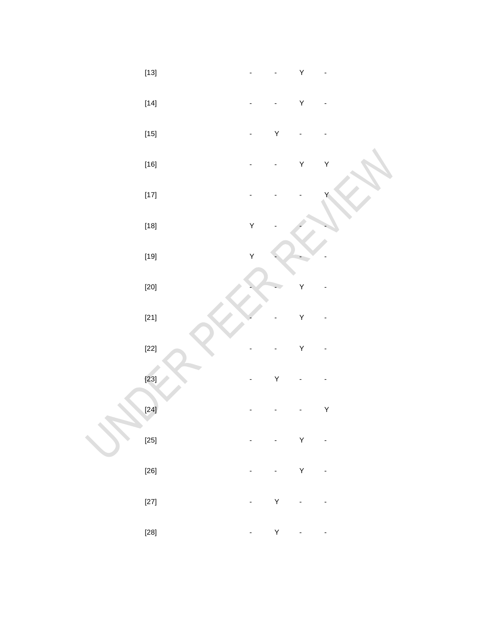| $\left[ 14\right]$                                                                                                                                                                                            |   |   | Y           | - |
|---------------------------------------------------------------------------------------------------------------------------------------------------------------------------------------------------------------|---|---|-------------|---|
| $\left[ 15\right]$                                                                                                                                                                                            |   | Y |             |   |
| $\left[ 16\right]$                                                                                                                                                                                            |   |   | Y           | Y |
| $\left[ 17\right]$                                                                                                                                                                                            |   |   |             | Υ |
| $\left[ 18\right]$                                                                                                                                                                                            | Y |   |             |   |
| $[19] % \includegraphics[width=0.9\columnwidth]{figures/fig_1a} \caption{The 3D (top) of the parameter $\Omega$ in the left and right. The left is the same time, the right is the same time.} \label{fig:1}$ | Y |   |             |   |
| $\left[ 20\right]$                                                                                                                                                                                            |   |   | Y           |   |
| $[21]$                                                                                                                                                                                                        |   |   | Y           |   |
| $[22]$                                                                                                                                                                                                        |   |   | Y           |   |
| $[23]$                                                                                                                                                                                                        |   | Y |             |   |
| $[24]$                                                                                                                                                                                                        |   |   |             | Y |
| $\left[ 25\right]$                                                                                                                                                                                            |   |   | Y           |   |
| $[26]$                                                                                                                                                                                                        |   |   | $\mathsf Y$ |   |
| $\left[ 27\right]$                                                                                                                                                                                            |   | Y |             |   |
| $\left[ 28\right]$                                                                                                                                                                                            | - | Y |             |   |

-

-

Y

-

[13]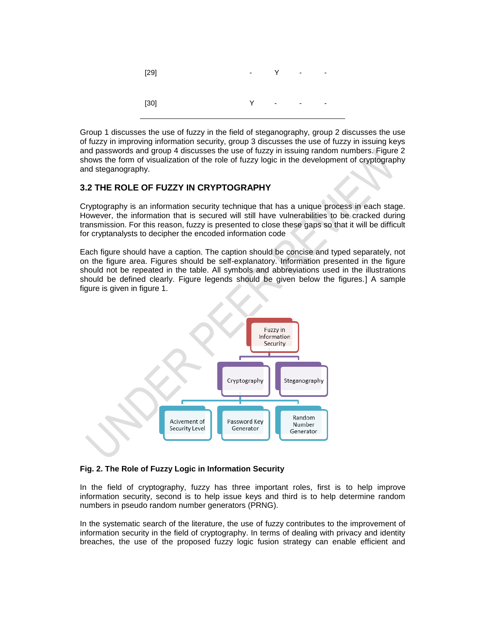

Group 1 discusses the use of fuzzy in the field of steganography, group 2 discusses the use of fuzzy in improving information security, group 3 discusses the use of fuzzy in issuing keys and passwords and group 4 discusses the use of fuzzy in issuing random numbers. Figure 2 shows the form of visualization of the role of fuzzy logic in the development of cryptography and steganography.

## **3.2 THE ROLE OF FUZZY IN CRYPTOGRAPHY**

Cryptography is an information security technique that has a unique process in each stage. However, the information that is secured will still have vulnerabilities to be cracked during transmission. For this reason, fuzzy is presented to close these gaps so that it will be difficult for cryptanalysts to decipher the encoded information code

Each figure should have a caption. The caption should be concise and typed separately, not on the figure area. Figures should be self-explanatory. Information presented in the figure should not be repeated in the table. All symbols and abbreviations used in the illustrations should be defined clearly. Figure legends should be given below the figures.] A sample figure is given in figure 1.



#### **Fig. 2. The Role of Fuzzy Logic in Information Security**

In the field of cryptography, fuzzy has three important roles, first is to help improve information security, second is to help issue keys and third is to help determine random numbers in pseudo random number generators (PRNG).

In the systematic search of the literature, the use of fuzzy contributes to the improvement of information security in the field of cryptography. In terms of dealing with privacy and identity breaches, the use of the proposed fuzzy logic fusion strategy can enable efficient and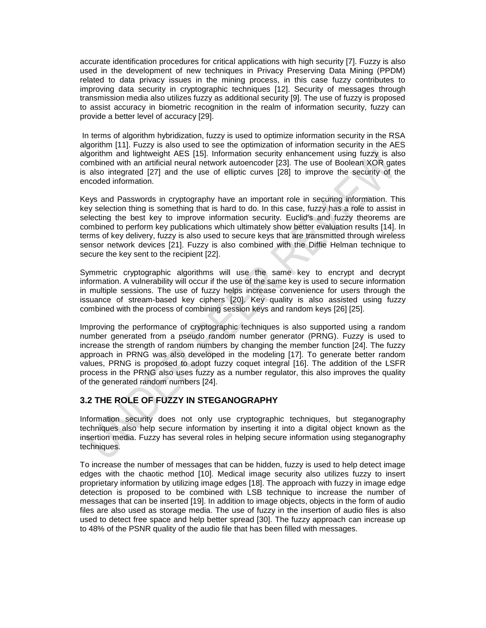accurate identification procedures for critical applications with high security [7]. Fuzzy is also used in the development of new techniques in Privacy Preserving Data Mining (PPDM) related to data privacy issues in the mining process, in this case fuzzy contributes to improving data security in cryptographic techniques [12]. Security of messages through transmission media also utilizes fuzzy as additional security [9]. The use of fuzzy is proposed to assist accuracy in biometric recognition in the realm of information security, fuzzy can provide a better level of accuracy [29].

In terms of algorithm hybridization, fuzzy is used to optimize information security in the RSA algorithm [11]. Fuzzy is also used to see the optimization of information security in the AES algorithm and lightweight AES [15]. Information security enhancement using fuzzy is also combined with an artificial neural network autoencoder [23]. The use of Boolean XOR gates is also integrated [27] and the use of elliptic curves [28] to improve the security of the encoded information.

Keys and Passwords in cryptography have an important role in securing information. This key selection thing is something that is hard to do. In this case, fuzzy has a role to assist in selecting the best key to improve information security. Euclid's and fuzzy theorems are combined to perform key publications which ultimately show better evaluation results [14]. In terms of key delivery, fuzzy is also used to secure keys that are transmitted through wireless sensor network devices [21]. Fuzzy is also combined with the Diffie Helman technique to secure the key sent to the recipient [22].

Symmetric cryptographic algorithms will use the same key to encrypt and decrypt information. A vulnerability will occur if the use of the same key is used to secure information in multiple sessions. The use of fuzzy helps increase convenience for users through the issuance of stream-based key ciphers [20]. Key quality is also assisted using fuzzy combined with the process of combining session keys and random keys [26] [25].

Improving the performance of cryptographic techniques is also supported using a random number generated from a pseudo random number generator (PRNG). Fuzzy is used to increase the strength of random numbers by changing the member function [24]. The fuzzy approach in PRNG was also developed in the modeling [17]. To generate better random values, PRNG is proposed to adopt fuzzy coquet integral [16]. The addition of the LSFR process in the PRNG also uses fuzzy as a number regulator, this also improves the quality of the generated random numbers [24].

# **3.2 THE ROLE OF FUZZY IN STEGANOGRAPHY**

Information security does not only use cryptographic techniques, but steganography techniques also help secure information by inserting it into a digital object known as the insertion media. Fuzzy has several roles in helping secure information using steganography techniques.

To increase the number of messages that can be hidden, fuzzy is used to help detect image edges with the chaotic method [10]. Medical image security also utilizes fuzzy to insert proprietary information by utilizing image edges [18]. The approach with fuzzy in image edge detection is proposed to be combined with LSB technique to increase the number of messages that can be inserted [19]. In addition to image objects, objects in the form of audio files are also used as storage media. The use of fuzzy in the insertion of audio files is also used to detect free space and help better spread [30]. The fuzzy approach can increase up to 48% of the PSNR quality of the audio file that has been filled with messages.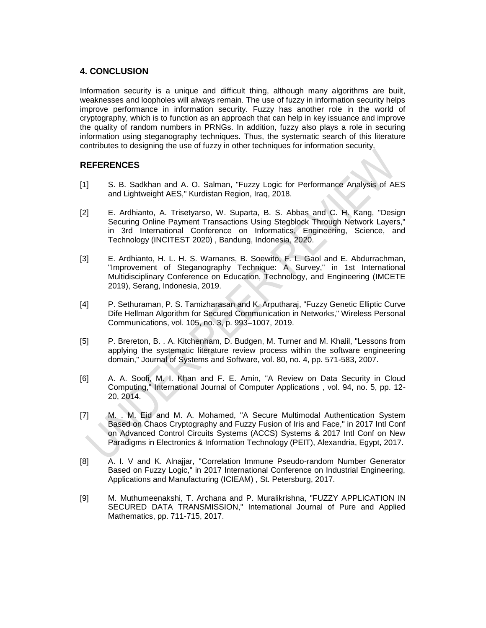## **4. CONCLUSION**

Information security is a unique and difficult thing, although many algorithms are built, weaknesses and loopholes will always remain. The use of fuzzy in information security helps improve performance in information security. Fuzzy has another role in the world of cryptography, which is to function as an approach that can help in key issuance and improve the quality of random numbers in PRNGs. In addition, fuzzy also plays a role in securing information using steganography techniques. Thus, the systematic search of this literature contributes to designing the use of fuzzy in other techniques for information security.

# **REFERENCES**

- [1] S. B. Sadkhan and A. O. Salman, "Fuzzy Logic for Performance Analysis of AES and Lightweight AES," Kurdistan Region, Iraq, 2018.
- [2] E. Ardhianto, A. Trisetyarso, W. Suparta, B. S. Abbas and C. H. Kang, "Design Securing Online Payment Transactions Using Stegblock Through Network Layers," in 3rd International Conference on Informatics, Engineering, Science, and Technology (INCITEST 2020) , Bandung, Indonesia, 2020.
- [3] E. Ardhianto, H. L. H. S. Warnanrs, B. Soewito, F. L. Gaol and E. Abdurrachman, "Improvement of Steganography Technique: A Survey," in 1st International Multidisciplinary Conference on Education, Technology, and Engineering (IMCETE 2019), Serang, Indonesia, 2019.
- [4] P. Sethuraman, P. S. Tamizharasan and K. Arputharaj, "Fuzzy Genetic Elliptic Curve Dife Hellman Algorithm for Secured Communication in Networks," Wireless Personal Communications, vol. 105, no. 3, p. 993–1007, 2019.
- [5] P. Brereton, B. . A. Kitchenham, D. Budgen, M. Turner and M. Khalil, "Lessons from applying the systematic literature review process within the software engineering domain," Journal of Systems and Software, vol. 80, no. 4, pp. 571-583, 2007.
- [6] A. A. Soofi, M. I. Khan and F. E. Amin, "A Review on Data Security in Cloud Computing," International Journal of Computer Applications , vol. 94, no. 5, pp. 12- 20, 2014.
- [7] M. . M. Eid and M. A. Mohamed, "A Secure Multimodal Authentication System Based on Chaos Cryptography and Fuzzy Fusion of Iris and Face," in 2017 Intl Conf on Advanced Control Circuits Systems (ACCS) Systems & 2017 Intl Conf on New Paradigms in Electronics & Information Technology (PEIT), Alexandria, Egypt, 2017.
- [8] A. I. V and K. Alnajjar, "Correlation Immune Pseudo-random Number Generator Based on Fuzzy Logic," in 2017 International Conference on Industrial Engineering, Applications and Manufacturing (ICIEAM) , St. Petersburg, 2017.
- [9] M. Muthumeenakshi, T. Archana and P. Muralikrishna, "FUZZY APPLICATION IN SECURED DATA TRANSMISSION," International Journal of Pure and Applied Mathematics, pp. 711-715, 2017.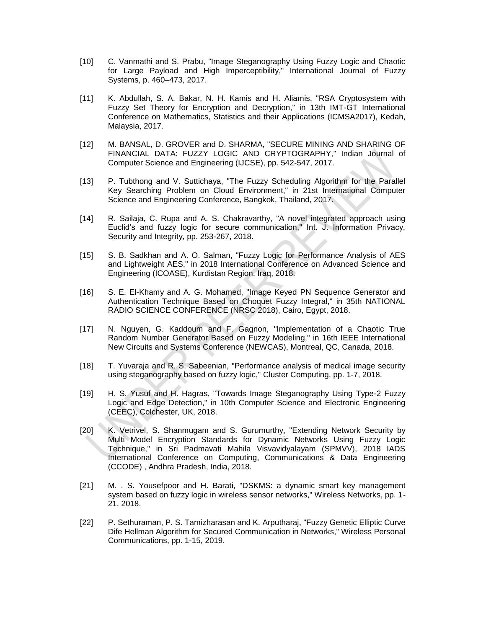- [10] C. Vanmathi and S. Prabu, "Image Steganography Using Fuzzy Logic and Chaotic for Large Payload and High Imperceptibility," International Journal of Fuzzy Systems, p. 460–473, 2017.
- [11] K. Abdullah, S. A. Bakar, N. H. Kamis and H. Aliamis, "RSA Cryptosystem with Fuzzy Set Theory for Encryption and Decryption," in 13th IMT-GT International Conference on Mathematics, Statistics and their Applications (ICMSA2017), Kedah, Malaysia, 2017.
- [12] M. BANSAL, D. GROVER and D. SHARMA, "SECURE MINING AND SHARING OF FINANCIAL DATA: FUZZY LOGIC AND CRYPTOGRAPHY," Indian Journal of Computer Science and Engineering (IJCSE), pp. 542-547, 2017.
- [13] P. Tubthong and V. Suttichaya, "The Fuzzy Scheduling Algorithm for the Parallel Key Searching Problem on Cloud Environment," in 21st International Computer Science and Engineering Conference, Bangkok, Thailand, 2017.
- [14] R. Sailaja, C. Rupa and A. S. Chakravarthy, "A novel integrated approach using Euclid's and fuzzy logic for secure communication," Int. J. Information Privacy, Security and Integrity, pp. 253-267, 2018.
- [15] S. B. Sadkhan and A. O. Salman, "Fuzzy Logic for Performance Analysis of AES and Lightweight AES," in 2018 International Conference on Advanced Science and Engineering (ICOASE), Kurdistan Region, Iraq, 2018.
- [16] S. E. El-Khamy and A. G. Mohamed, "Image Keyed PN Sequence Generator and Authentication Technique Based on Choquet Fuzzy Integral," in 35th NATIONAL RADIO SCIENCE CONFERENCE (NRSC 2018), Cairo, Egypt, 2018.
- [17] N. Nguyen, G. Kaddoum and F. Gagnon, "Implementation of a Chaotic True Random Number Generator Based on Fuzzy Modeling," in 16th IEEE International New Circuits and Systems Conference (NEWCAS), Montreal, QC, Canada, 2018.
- [18] T. Yuvaraja and R. S. Sabeenian, "Performance analysis of medical image security using steganography based on fuzzy logic," Cluster Computing, pp. 1-7, 2018.
- [19] H. S. Yusuf and H. Hagras, "Towards Image Steganography Using Type-2 Fuzzy Logic and Edge Detection," in 10th Computer Science and Electronic Engineering (CEEC), Colchester, UK, 2018.
- [20] K. Vetrivel, S. Shanmugam and S. Gurumurthy, "Extending Network Security by Multi Model Encryption Standards for Dynamic Networks Using Fuzzy Logic Technique," in Sri Padmavati Mahila Visvavidyalayam (SPMVV), 2018 IADS International Conference on Computing, Communications & Data Engineering (CCODE) , Andhra Pradesh, India, 2018.
- [21] M. . S. Yousefpoor and H. Barati, "DSKMS: a dynamic smart key management system based on fuzzy logic in wireless sensor networks," Wireless Networks, pp. 1- 21, 2018.
- [22] P. Sethuraman, P. S. Tamizharasan and K. Arputharaj, "Fuzzy Genetic Elliptic Curve Dife Hellman Algorithm for Secured Communication in Networks," Wireless Personal Communications, pp. 1-15, 2019.